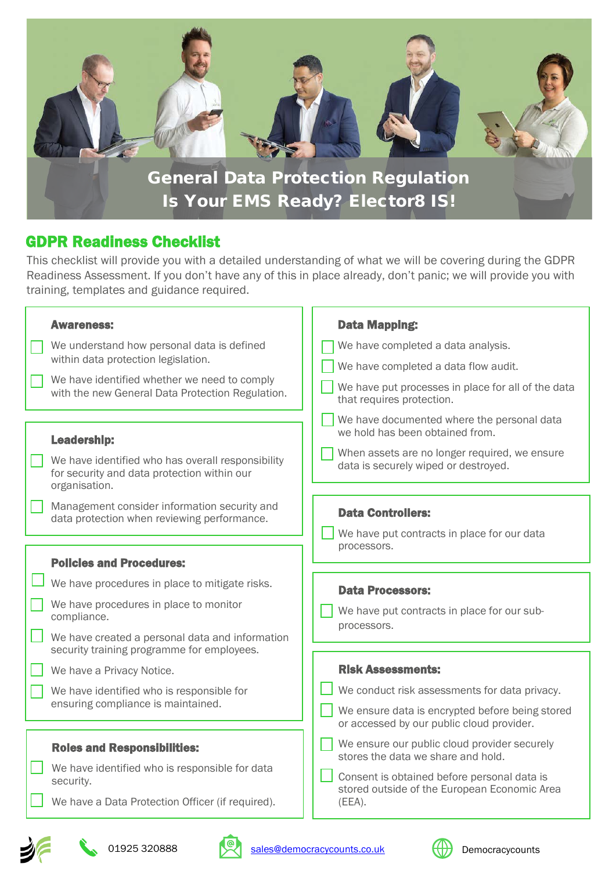

## GDPR Readiness Checklist

This checklist will provide you with a detailed understanding of what we will be covering during the GDPR Readiness Assessment. If you don't have any of this in place already, don't panic; we will provide you with training, templates and guidance required.

| <b>Awareness:</b>                                                                                                                                          | <b>Data Mapping:</b>                                                                                                                                                                        |
|------------------------------------------------------------------------------------------------------------------------------------------------------------|---------------------------------------------------------------------------------------------------------------------------------------------------------------------------------------------|
| We understand how personal data is defined<br>within data protection legislation.                                                                          | We have completed a data analysis.                                                                                                                                                          |
| We have identified whether we need to comply<br>with the new General Data Protection Regulation.                                                           | We have completed a data flow audit.<br>We have put processes in place for all of the data<br>that requires protection.                                                                     |
| <b>Leadership:</b><br>We have identified who has overall responsibility<br>for security and data protection within our<br>organisation.                    | We have documented where the personal data<br>we hold has been obtained from.<br>When assets are no longer required, we ensure<br>data is securely wiped or destroyed.                      |
| Management consider information security and<br>data protection when reviewing performance.                                                                | <b>Data Controllers:</b><br>We have put contracts in place for our data<br>processors.                                                                                                      |
| <b>Policies and Procedures:</b>                                                                                                                            |                                                                                                                                                                                             |
| We have procedures in place to mitigate risks.<br>We have procedures in place to monitor<br>compliance.<br>We have created a personal data and information | <b>Data Processors:</b><br>We have put contracts in place for our sub-<br>processors.                                                                                                       |
| security training programme for employees.<br>We have a Privacy Notice.<br>We have identified who is responsible for<br>ensuring compliance is maintained. | <b>Risk Assessments:</b><br>We conduct risk assessments for data privacy.<br>We ensure data is encrypted before being stored<br>or accessed by our public cloud provider.                   |
| <b>Roles and Responsibilities:</b><br>We have identified who is responsible for data<br>security.<br>We have a Data Protection Officer (if required).      | We ensure our public cloud provider securely<br>stores the data we share and hold.<br>Consent is obtained before personal data is<br>stored outside of the European Economic Area<br>(EEA). |